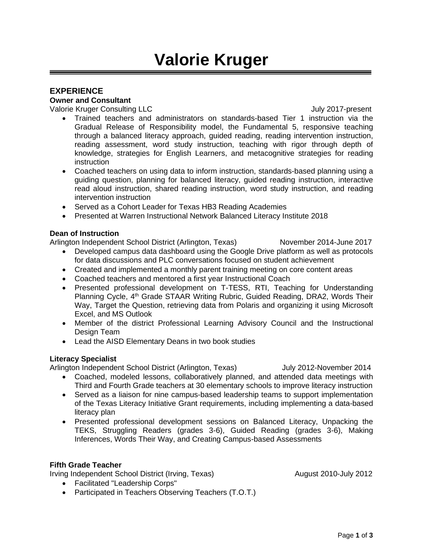# **Valorie Kruger**

## **EXPERIENCE**

**Owner and Consultant**

Valorie Kruger Consulting LLC **Valorie Kruger Consulting LLC** 

- Trained teachers and administrators on standards-based Tier 1 instruction via the Gradual Release of Responsibility model, the Fundamental 5, responsive teaching through a balanced literacy approach, guided reading, reading intervention instruction, reading assessment, word study instruction, teaching with rigor through depth of knowledge, strategies for English Learners, and metacognitive strategies for reading instruction
- Coached teachers on using data to inform instruction, standards-based planning using a guiding question, planning for balanced literacy, guided reading instruction, interactive read aloud instruction, shared reading instruction, word study instruction, and reading intervention instruction
- Served as a Cohort Leader for Texas HB3 Reading Academies
- Presented at Warren Instructional Network Balanced Literacy Institute 2018

## **Dean of Instruction**

Arlington Independent School District (Arlington, Texas) November 2014-June 2017

- Developed campus data dashboard using the Google Drive platform as well as protocols for data discussions and PLC conversations focused on student achievement
- Created and implemented a monthly parent training meeting on core content areas
- Coached teachers and mentored a first year Instructional Coach
- Presented professional development on T-TESS, RTI, Teaching for Understanding Planning Cycle, 4<sup>th</sup> Grade STAAR Writing Rubric, Guided Reading, DRA2, Words Their Way, Target the Question, retrieving data from Polaris and organizing it using Microsoft Excel, and MS Outlook
- Member of the district Professional Learning Advisory Council and the Instructional Design Team
- Lead the AISD Elementary Deans in two book studies

## **Literacy Specialist**

Arlington Independent School District (Arlington, Texas) July 2012-November 2014

- Coached, modeled lessons, collaboratively planned, and attended data meetings with Third and Fourth Grade teachers at 30 elementary schools to improve literacy instruction
- Served as a liaison for nine campus-based leadership teams to support implementation of the Texas Literacy Initiative Grant requirements, including implementing a data-based literacy plan
- Presented professional development sessions on Balanced Literacy, Unpacking the TEKS, Struggling Readers (grades 3-6), Guided Reading (grades 3-6), Making Inferences, Words Their Way, and Creating Campus-based Assessments

## **Fifth Grade Teacher**

Irving Independent School District (Irving, Texas) August 2010-July 2012

- Facilitated "Leadership Corps"
- Participated in Teachers Observing Teachers (T.O.T.)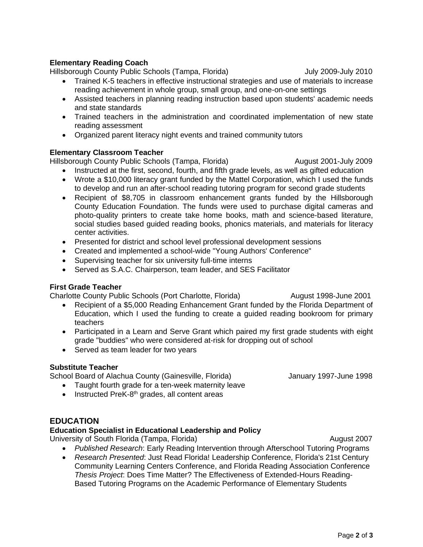## **Elementary Reading Coach**

Hillsborough County Public Schools (Tampa, Florida) July 2009-July 2010

- Trained K-5 teachers in effective instructional strategies and use of materials to increase reading achievement in whole group, small group, and one-on-one settings
- Assisted teachers in planning reading instruction based upon students' academic needs and state standards
- Trained teachers in the administration and coordinated implementation of new state reading assessment
- Organized parent literacy night events and trained community tutors

#### **Elementary Classroom Teacher**

Hillsborough County Public Schools (Tampa, Florida) August 2001-July 2009

- Instructed at the first, second, fourth, and fifth grade levels, as well as gifted education
- Wrote a \$10,000 literacy grant funded by the Mattel Corporation, which I used the funds to develop and run an after-school reading tutoring program for second grade students
- Recipient of \$8,705 in classroom enhancement grants funded by the Hillsborough County Education Foundation. The funds were used to purchase digital cameras and photo-quality printers to create take home books, math and science-based literature, social studies based guided reading books, phonics materials, and materials for literacy center activities.
- Presented for district and school level professional development sessions
- Created and implemented a school-wide "Young Authors' Conference"
- Supervising teacher for six university full-time interns
- Served as S.A.C. Chairperson, team leader, and SES Facilitator

#### **First Grade Teacher**

Charlotte County Public Schools (Port Charlotte, Florida) August 1998-June 2001

- Recipient of a \$5,000 Reading Enhancement Grant funded by the Florida Department of Education, which I used the funding to create a guided reading bookroom for primary teachers
- Participated in a Learn and Serve Grant which paired my first grade students with eight grade "buddies" who were considered at-risk for dropping out of school
- Served as team leader for two years

#### **Substitute Teacher**

School Board of Alachua County (Gainesville, Florida) January 1997-June 1998

- Taught fourth grade for a ten-week maternity leave
- Instructed PreK-8<sup>th</sup> grades, all content areas

## **EDUCATION**

## **Education Specialist in Educational Leadership and Policy**

University of South Florida (Tampa, Florida) and August 2007 http://www.florida.com/

- *Published Research*: Early Reading Intervention through Afterschool Tutoring Programs
- *Research Presented*: Just Read Florida! Leadership Conference, Florida's 21st Century Community Learning Centers Conference, and Florida Reading Association Conference *Thesis Project*: Does Time Matter? The Effectiveness of Extended-Hours Reading-Based Tutoring Programs on the Academic Performance of Elementary Students